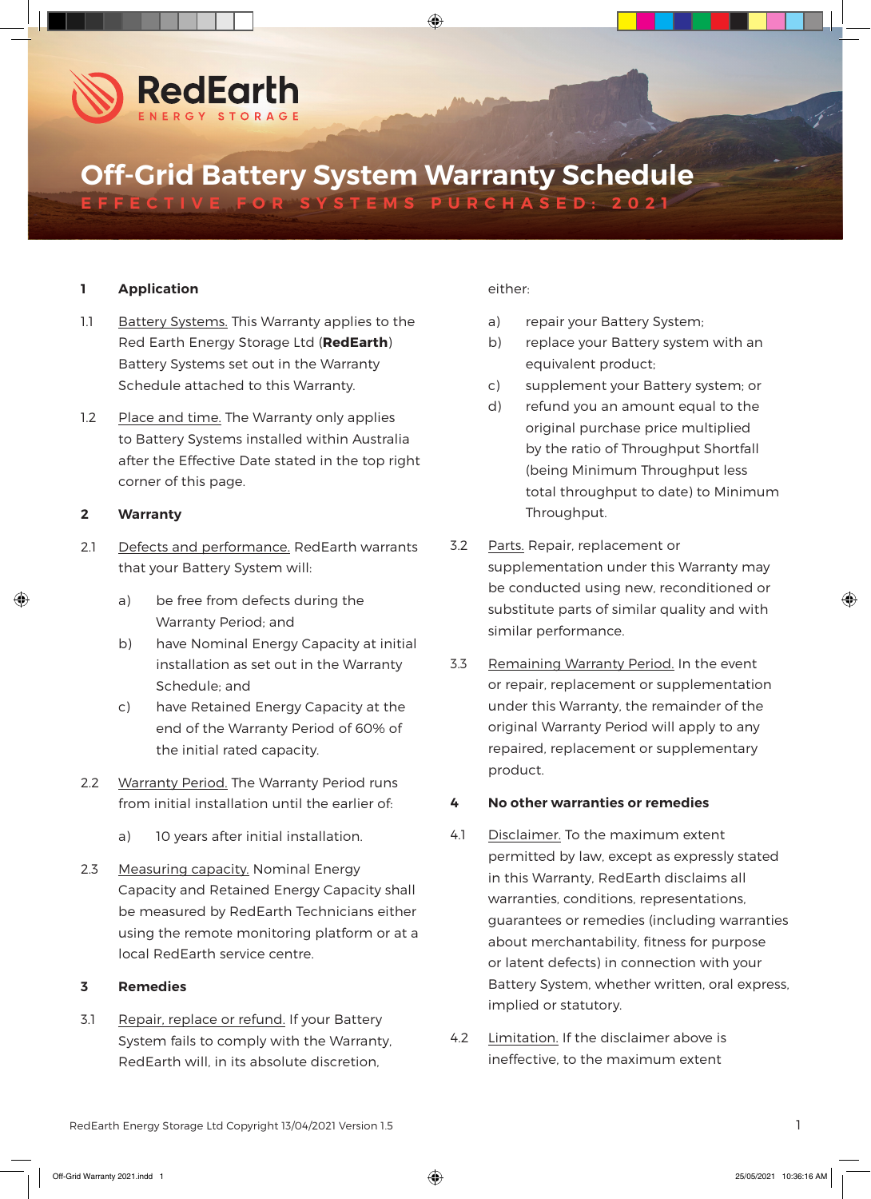# Off-Grid Battery System Warranty Schedule

◈

EFFECTIVE FOR SYSTEMS PURCHASED:

# 1 Application

1.1 Battery Systems. This Warranty applies to the Red Earth Energy Storage Ltd (RedEarth) Battery Systems set out in the Warranty Schedule attached to this Warranty.

**RedEarth** 

1.2 Place and time. The Warranty only applies to Battery Systems installed within Australia after the Effective Date stated in the top right corner of this page.

#### 2 Warranty

♠

- 2.1 Defects and performance. RedEarth warrants that your Battery System will:
	- a) be free from defects during the Warranty Period; and
	- b) have Nominal Energy Capacity at initial installation as set out in the Warranty Schedule; and
	- c) have Retained Energy Capacity at the end of the Warranty Period of 60% of the initial rated capacity.
- 2.2 Warranty Period. The Warranty Period runs from initial installation until the earlier of:
	- a) 10 years after initial installation.
- 2.3 Measuring capacity. Nominal Energy Capacity and Retained Energy Capacity shall be measured by RedEarth Technicians either using the remote monitoring platform or at a local RedEarth service centre.

# 3 Remedies

3.1 Repair, replace or refund. If your Battery System fails to comply with the Warranty, RedEarth will, in its absolute discretion,

#### either:

- a) repair your Battery System;
- b) replace your Battery system with an equivalent product;
- c) supplement your Battery system; or
- d) refund you an amount equal to the original purchase price multiplied by the ratio of Throughput Shortfall (being Minimum Throughput less total throughput to date) to Minimum Throughput.
- 3.2 Parts. Repair, replacement or supplementation under this Warranty may be conducted using new, reconditioned or substitute parts of similar quality and with similar performance.
- 3.3 Remaining Warranty Period. In the event or repair, replacement or supplementation under this Warranty, the remainder of the original Warranty Period will apply to any repaired, replacement or supplementary product.

#### 4 No other warranties or remedies

- 4.1 Disclaimer. To the maximum extent permitted by law, except as expressly stated in this Warranty, RedEarth disclaims all warranties, conditions, representations, guarantees or remedies (including warranties about merchantability, fitness for purpose or latent defects) in connection with your Battery System, whether written, oral express, implied or statutory.
- 4.2 Limitation. If the disclaimer above is ineffective, to the maximum extent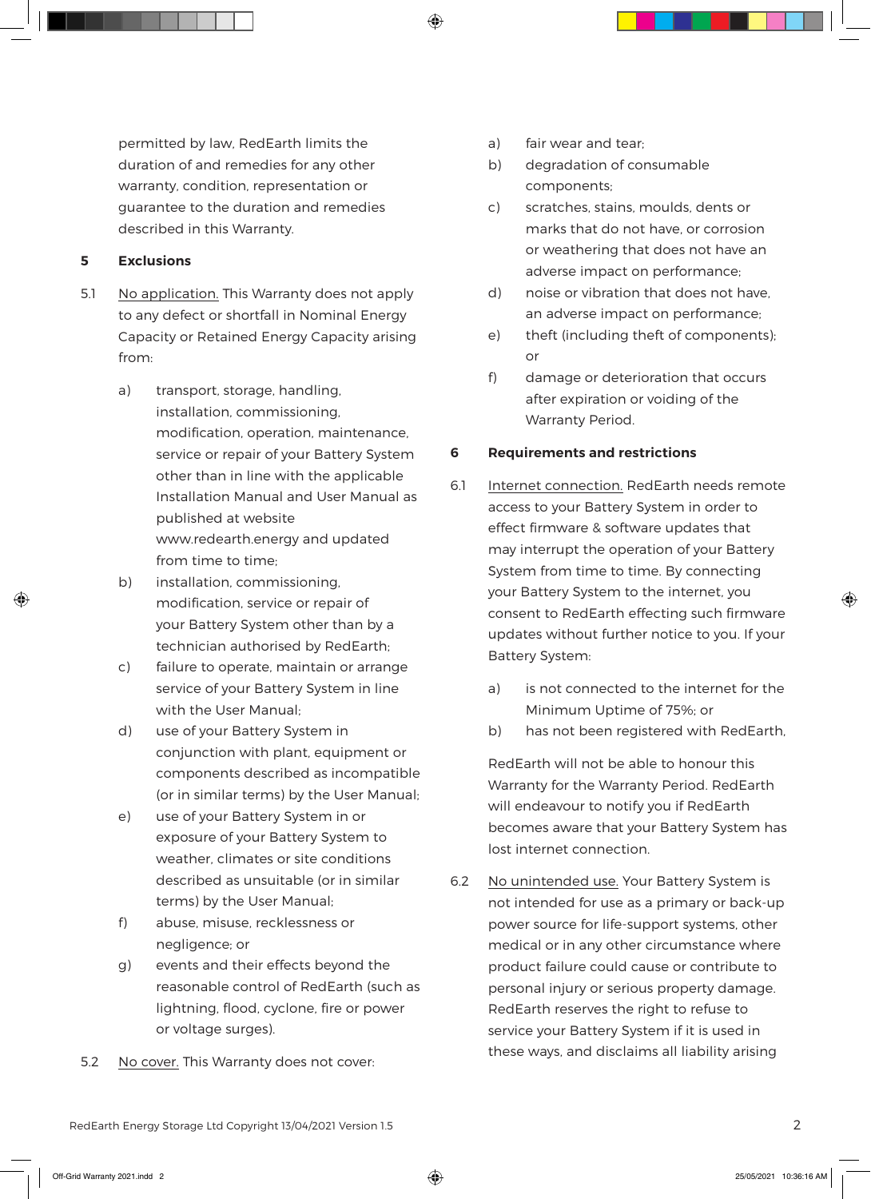◈

permitted by law, RedEarth limits the duration of and remedies for any other warranty, condition, representation or guarantee to the duration and remedies described in this Warranty.

### 5 Exclusions

◈

- 5.1 No application. This Warranty does not apply to any defect or shortfall in Nominal Energy Capacity or Retained Energy Capacity arising from:
	- a) transport, storage, handling, installation, commissioning, modification, operation, maintenance, service or repair of your Battery System other than in line with the applicable Installation Manual and User Manual as published at website www.redearth.energy and updated from time to time;
	- b) installation, commissioning, modification, service or repair of your Battery System other than by a technician authorised by RedEarth;
	- c) failure to operate, maintain or arrange service of your Battery System in line with the User Manual;
	- d) use of your Battery System in conjunction with plant, equipment or components described as incompatible (or in similar terms) by the User Manual;
	- e) use of your Battery System in or exposure of your Battery System to weather, climates or site conditions described as unsuitable (or in similar terms) by the User Manual;
	- f) abuse, misuse, recklessness or negligence; or
	- g) events and their effects beyond the reasonable control of RedEarth (such as lightning, flood, cyclone, fire or power or voltage surges).
- 5.2 No cover. This Warranty does not cover:
- a) fair wear and tear;
- b) degradation of consumable components;
- c) scratches, stains, moulds, dents or marks that do not have, or corrosion or weathering that does not have an adverse impact on performance;
- d) noise or vibration that does not have, an adverse impact on performance;
- e) theft (including theft of components); or
- f) damage or deterioration that occurs after expiration or voiding of the Warranty Period.

#### 6 Requirements and restrictions

- 6.1 Internet connection. RedEarth needs remote access to your Battery System in order to effect firmware & software updates that may interrupt the operation of your Battery System from time to time. By connecting your Battery System to the internet, you consent to RedEarth effecting such firmware updates without further notice to you. If your Battery System:
	- a) is not connected to the internet for the Minimum Uptime of 75%; or
	- b) has not been registered with RedEarth,

RedEarth will not be able to honour this Warranty for the Warranty Period. RedEarth will endeavour to notify you if RedEarth becomes aware that your Battery System has lost internet connection.

6.2 No unintended use. Your Battery System is not intended for use as a primary or back-up power source for life-support systems, other medical or in any other circumstance where product failure could cause or contribute to personal injury or serious property damage. RedEarth reserves the right to refuse to service your Battery System if it is used in these ways, and disclaims all liability arising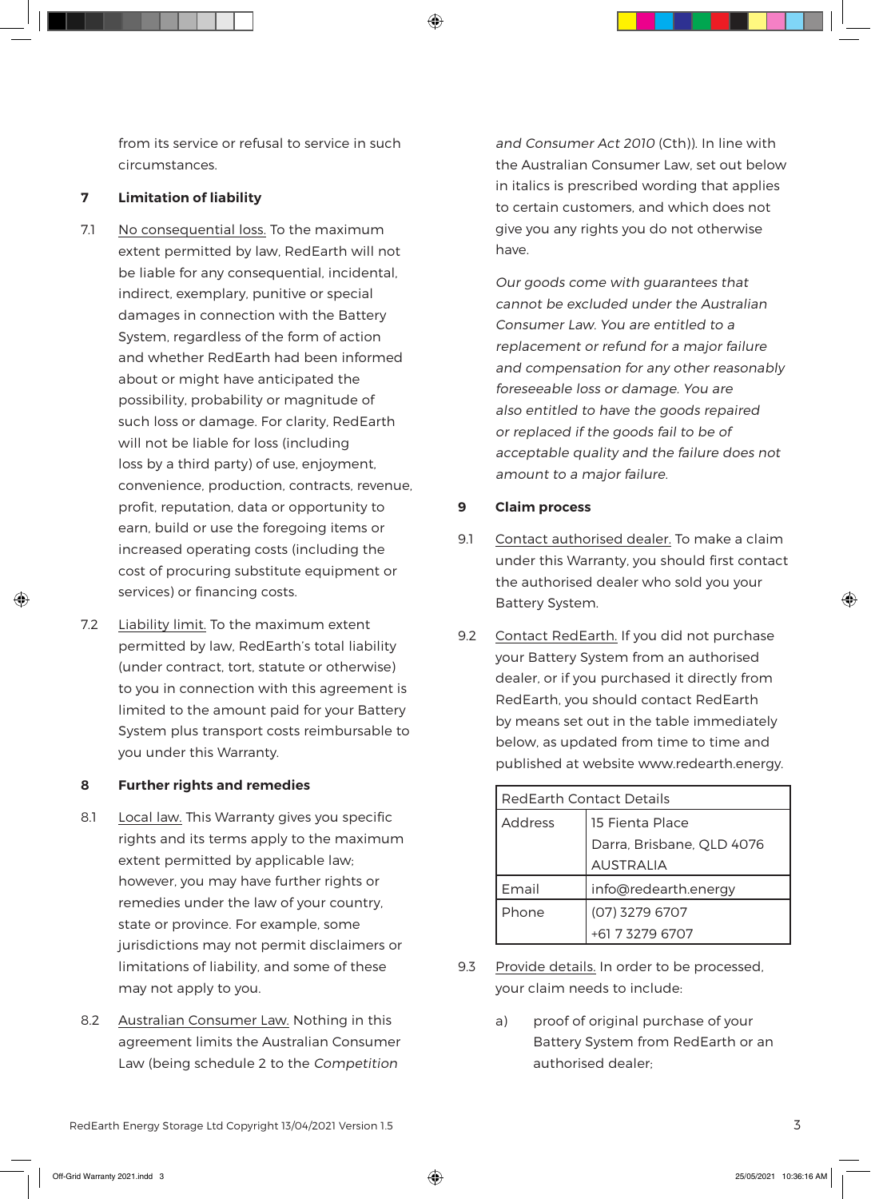from its service or refusal to service in such circumstances.

# 7 Limitation of liability

- 7.1 No consequential loss. To the maximum extent permitted by law, RedEarth will not be liable for any consequential, incidental, indirect, exemplary, punitive or special damages in connection with the Battery System, regardless of the form of action and whether RedEarth had been informed about or might have anticipated the possibility, probability or magnitude of such loss or damage. For clarity, RedEarth will not be liable for loss (including loss by a third party) of use, enjoyment, convenience, production, contracts, revenue, profit, reputation, data or opportunity to earn, build or use the foregoing items or increased operating costs (including the cost of procuring substitute equipment or services) or financing costs.
- 7.2 Liability limit. To the maximum extent permitted by law, RedEarth's total liability (under contract, tort, statute or otherwise) to you in connection with this agreement is limited to the amount paid for your Battery System plus transport costs reimbursable to you under this Warranty.

### 8 Further rights and remedies

- 8.1 Local law. This Warranty gives you specific rights and its terms apply to the maximum extent permitted by applicable law; however, you may have further rights or remedies under the law of your country, state or province. For example, some jurisdictions may not permit disclaimers or limitations of liability, and some of these may not apply to you.
- 8.2 Australian Consumer Law. Nothing in this agreement limits the Australian Consumer Law (being schedule 2 to the Competition

and Consumer Act 2010 (Cth)). In line with the Australian Consumer Law, set out below in italics is prescribed wording that applies to certain customers, and which does not give you any rights you do not otherwise have.

Our goods come with guarantees that cannot be excluded under the Australian Consumer Law. You are entitled to a replacement or refund for a major failure and compensation for any other reasonably foreseeable loss or damage. You are also entitled to have the goods repaired or replaced if the goods fail to be of acceptable quality and the failure does not amount to a major failure.

# 9 Claim process

⊕

- 9.1 Contact authorised dealer. To make a claim under this Warranty, you should first contact the authorised dealer who sold you your Battery System.
- 9.2 Contact RedEarth. If you did not purchase your Battery System from an authorised dealer, or if you purchased it directly from RedEarth, you should contact RedEarth by means set out in the table immediately below, as updated from time to time and published at website www.redearth.energy.

| <b>RedEarth Contact Details</b> |                           |
|---------------------------------|---------------------------|
| <b>Address</b>                  | 15 Fienta Place           |
|                                 | Darra, Brisbane, QLD 4076 |
|                                 | <b>AUSTRALIA</b>          |
| Email                           | info@redearth.energy      |
| Phone                           | (07) 3279 6707            |
|                                 | +61 7 3279 6707           |

- 9.3 Provide details. In order to be processed, your claim needs to include:
	- a) proof of original purchase of your Battery System from RedEarth or an authorised dealer;

⊕